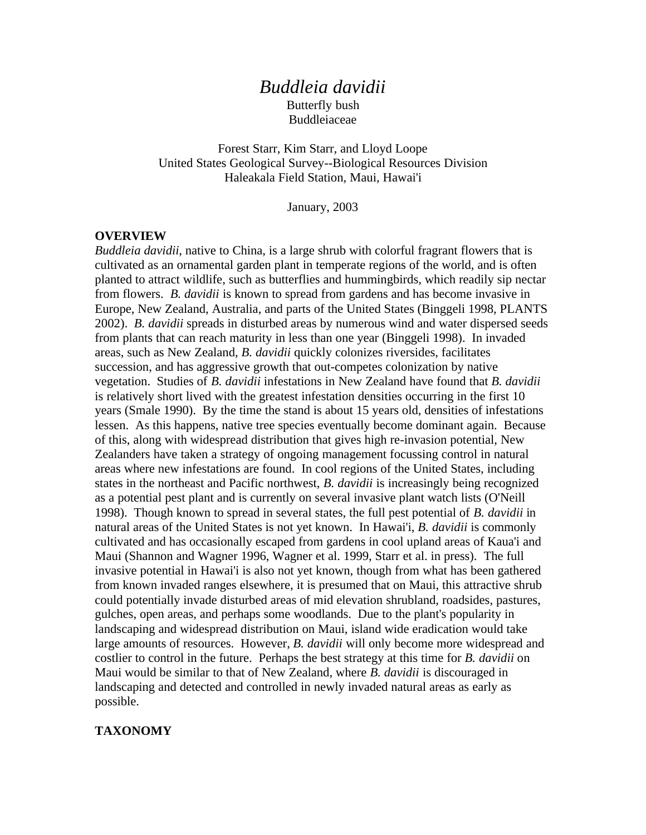## *Buddleia davidii* Butterfly bush Buddleiaceae

Forest Starr, Kim Starr, and Lloyd Loope United States Geological Survey--Biological Resources Division Haleakala Field Station, Maui, Hawai'i

January, 2003

#### **OVERVIEW**

*Buddleia davidii*, native to China, is a large shrub with colorful fragrant flowers that is cultivated as an ornamental garden plant in temperate regions of the world, and is often planted to attract wildlife, such as butterflies and hummingbirds, which readily sip nectar from flowers. *B. davidii* is known to spread from gardens and has become invasive in Europe, New Zealand, Australia, and parts of the United States (Binggeli 1998, PLANTS 2002). *B. davidii* spreads in disturbed areas by numerous wind and water dispersed seeds from plants that can reach maturity in less than one year (Binggeli 1998). In invaded areas, such as New Zealand, *B. davidii* quickly colonizes riversides, facilitates succession, and has aggressive growth that out-competes colonization by native vegetation. Studies of *B. davidii* infestations in New Zealand have found that *B. davidii* is relatively short lived with the greatest infestation densities occurring in the first 10 years (Smale 1990). By the time the stand is about 15 years old, densities of infestations lessen. As this happens, native tree species eventually become dominant again. Because of this, along with widespread distribution that gives high re-invasion potential, New Zealanders have taken a strategy of ongoing management focussing control in natural areas where new infestations are found. In cool regions of the United States, including states in the northeast and Pacific northwest, *B. davidii* is increasingly being recognized as a potential pest plant and is currently on several invasive plant watch lists (O'Neill 1998). Though known to spread in several states, the full pest potential of *B. davidii* in natural areas of the United States is not yet known. In Hawai'i, *B. davidii* is commonly cultivated and has occasionally escaped from gardens in cool upland areas of Kaua'i and Maui (Shannon and Wagner 1996, Wagner et al. 1999, Starr et al. in press). The full invasive potential in Hawai'i is also not yet known, though from what has been gathered from known invaded ranges elsewhere, it is presumed that on Maui, this attractive shrub could potentially invade disturbed areas of mid elevation shrubland, roadsides, pastures, gulches, open areas, and perhaps some woodlands. Due to the plant's popularity in landscaping and widespread distribution on Maui, island wide eradication would take large amounts of resources. However, *B. davidii* will only become more widespread and costlier to control in the future. Perhaps the best strategy at this time for *B. davidii* on Maui would be similar to that of New Zealand, where *B. davidii* is discouraged in landscaping and detected and controlled in newly invaded natural areas as early as possible.

#### **TAXONOMY**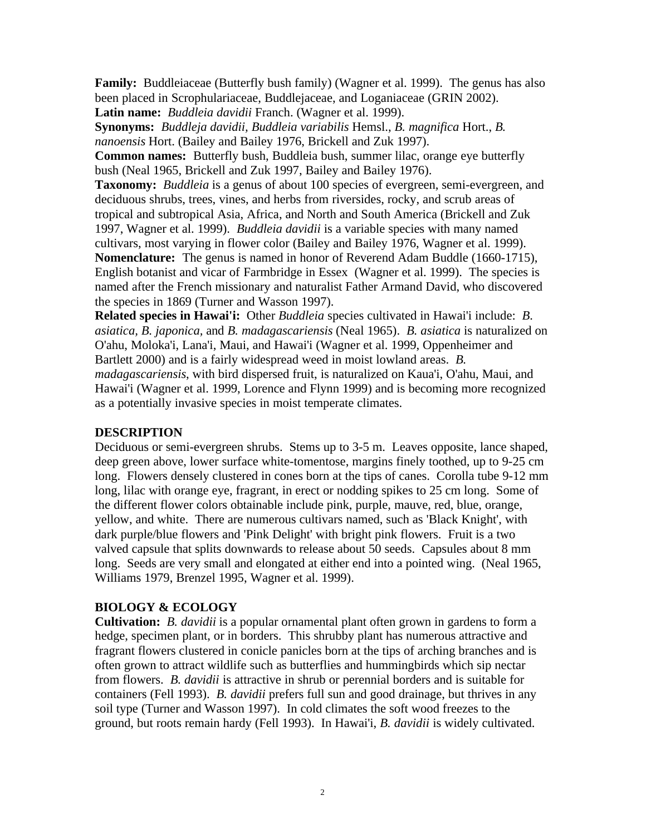**Family:** Buddleiaceae (Butterfly bush family) (Wagner et al. 1999). The genus has also been placed in Scrophulariaceae, Buddlejaceae, and Loganiaceae (GRIN 2002).

**Latin name:** *Buddleia davidii* Franch. (Wagner et al. 1999).

**Synonyms:** *Buddleja davidii, Buddleia variabilis* Hemsl., *B. magnifica* Hort., *B. nanoensis* Hort. (Bailey and Bailey 1976, Brickell and Zuk 1997).

**Common names:** Butterfly bush, Buddleia bush, summer lilac, orange eye butterfly bush (Neal 1965, Brickell and Zuk 1997, Bailey and Bailey 1976).

**Taxonomy:** *Buddleia* is a genus of about 100 species of evergreen, semi-evergreen, and deciduous shrubs, trees, vines, and herbs from riversides, rocky, and scrub areas of tropical and subtropical Asia, Africa, and North and South America (Brickell and Zuk 1997, Wagner et al. 1999). *Buddleia davidii* is a variable species with many named cultivars, most varying in flower color (Bailey and Bailey 1976, Wagner et al. 1999). **Nomenclature:** The genus is named in honor of Reverend Adam Buddle (1660-1715), English botanist and vicar of Farmbridge in Essex (Wagner et al. 1999). The species is named after the French missionary and naturalist Father Armand David, who discovered the species in 1869 (Turner and Wasson 1997).

**Related species in Hawai'i:** Other *Buddleia* species cultivated in Hawai'i include: *B. asiatica, B. japonica,* and *B. madagascariensis* (Neal 1965). *B. asiatica* is naturalized on O'ahu, Moloka'i, Lana'i, Maui, and Hawai'i (Wagner et al. 1999, Oppenheimer and Bartlett 2000) and is a fairly widespread weed in moist lowland areas. *B. madagascariensis*, with bird dispersed fruit, is naturalized on Kaua'i, O'ahu, Maui, and Hawai'i (Wagner et al. 1999, Lorence and Flynn 1999) and is becoming more recognized as a potentially invasive species in moist temperate climates.

#### **DESCRIPTION**

Deciduous or semi-evergreen shrubs. Stems up to 3-5 m. Leaves opposite, lance shaped, deep green above, lower surface white-tomentose, margins finely toothed, up to 9-25 cm long. Flowers densely clustered in cones born at the tips of canes. Corolla tube 9-12 mm long, lilac with orange eye, fragrant, in erect or nodding spikes to 25 cm long. Some of the different flower colors obtainable include pink, purple, mauve, red, blue, orange, yellow, and white. There are numerous cultivars named, such as 'Black Knight', with dark purple/blue flowers and 'Pink Delight' with bright pink flowers. Fruit is a two valved capsule that splits downwards to release about 50 seeds. Capsules about 8 mm long. Seeds are very small and elongated at either end into a pointed wing. (Neal 1965, Williams 1979, Brenzel 1995, Wagner et al. 1999).

## **BIOLOGY & ECOLOGY**

**Cultivation:** *B. davidii* is a popular ornamental plant often grown in gardens to form a hedge, specimen plant, or in borders. This shrubby plant has numerous attractive and fragrant flowers clustered in conicle panicles born at the tips of arching branches and is often grown to attract wildlife such as butterflies and hummingbirds which sip nectar from flowers. *B. davidii* is attractive in shrub or perennial borders and is suitable for containers (Fell 1993). *B. davidii* prefers full sun and good drainage, but thrives in any soil type (Turner and Wasson 1997). In cold climates the soft wood freezes to the ground, but roots remain hardy (Fell 1993). In Hawai'i, *B. davidii* is widely cultivated.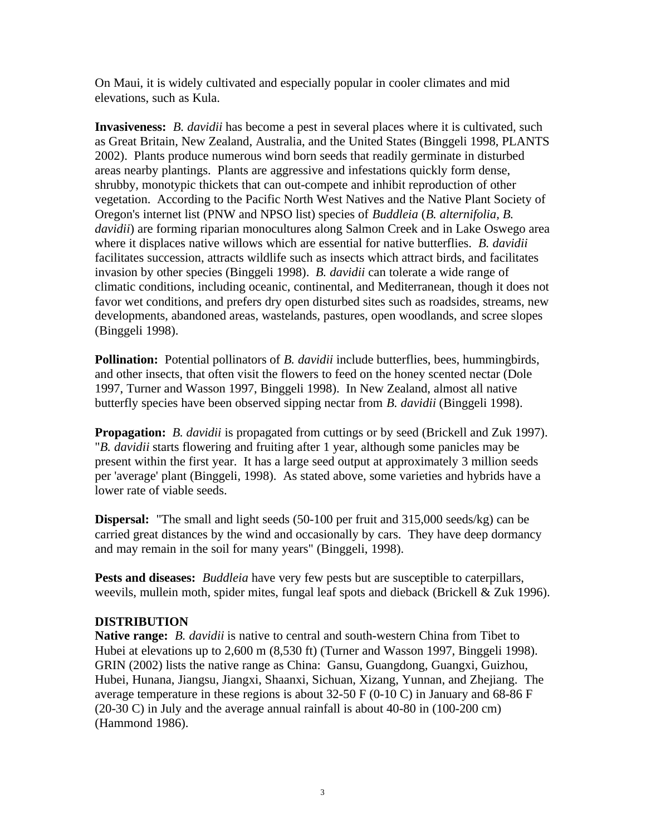On Maui, it is widely cultivated and especially popular in cooler climates and mid elevations, such as Kula.

**Invasiveness:** *B. davidii* has become a pest in several places where it is cultivated, such as Great Britain, New Zealand, Australia, and the United States (Binggeli 1998, PLANTS 2002). Plants produce numerous wind born seeds that readily germinate in disturbed areas nearby plantings. Plants are aggressive and infestations quickly form dense, shrubby, monotypic thickets that can out-compete and inhibit reproduction of other vegetation. According to the Pacific North West Natives and the Native Plant Society of Oregon's internet list (PNW and NPSO list) species of *Buddleia* (*B. alternifolia, B. davidii*) are forming riparian monocultures along Salmon Creek and in Lake Oswego area where it displaces native willows which are essential for native butterflies. *B. davidii* facilitates succession, attracts wildlife such as insects which attract birds, and facilitates invasion by other species (Binggeli 1998). *B. davidii* can tolerate a wide range of climatic conditions, including oceanic, continental, and Mediterranean, though it does not favor wet conditions, and prefers dry open disturbed sites such as roadsides, streams, new developments, abandoned areas, wastelands, pastures, open woodlands, and scree slopes (Binggeli 1998).

**Pollination:** Potential pollinators of *B. davidii* include butterflies, bees, hummingbirds, and other insects, that often visit the flowers to feed on the honey scented nectar (Dole 1997, Turner and Wasson 1997, Binggeli 1998). In New Zealand, almost all native butterfly species have been observed sipping nectar from *B. davidii* (Binggeli 1998).

**Propagation:** *B. davidii* is propagated from cuttings or by seed (Brickell and Zuk 1997). "*B. davidii* starts flowering and fruiting after 1 year, although some panicles may be present within the first year. It has a large seed output at approximately 3 million seeds per 'average' plant (Binggeli, 1998). As stated above, some varieties and hybrids have a lower rate of viable seeds.

**Dispersal:** "The small and light seeds (50-100 per fruit and 315,000 seeds/kg) can be carried great distances by the wind and occasionally by cars. They have deep dormancy and may remain in the soil for many years" (Binggeli, 1998).

**Pests and diseases:** *Buddleia* have very few pests but are susceptible to caterpillars, weevils, mullein moth, spider mites, fungal leaf spots and dieback (Brickell & Zuk 1996).

#### **DISTRIBUTION**

**Native range:** *B. davidii* is native to central and south-western China from Tibet to Hubei at elevations up to 2,600 m (8,530 ft) (Turner and Wasson 1997, Binggeli 1998). GRIN (2002) lists the native range as China: Gansu, Guangdong, Guangxi, Guizhou, Hubei, Hunana, Jiangsu, Jiangxi, Shaanxi, Sichuan, Xizang, Yunnan, and Zhejiang. The average temperature in these regions is about 32-50 F (0-10 C) in January and 68-86 F (20-30 C) in July and the average annual rainfall is about 40-80 in (100-200 cm) (Hammond 1986).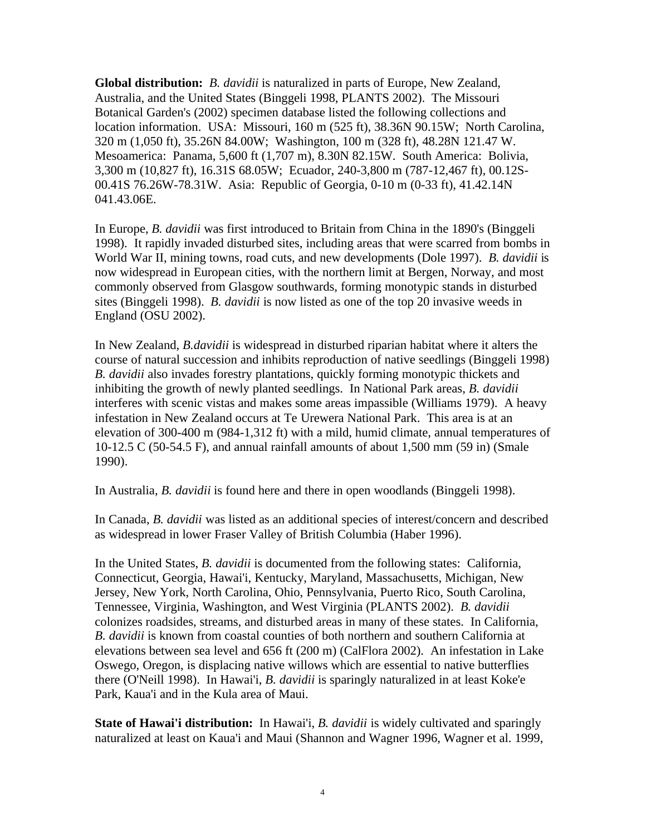**Global distribution:** *B. davidii* is naturalized in parts of Europe, New Zealand, Australia, and the United States (Binggeli 1998, PLANTS 2002). The Missouri Botanical Garden's (2002) specimen database listed the following collections and location information. USA: Missouri, 160 m (525 ft), 38.36N 90.15W; North Carolina, 320 m (1,050 ft), 35.26N 84.00W; Washington, 100 m (328 ft), 48.28N 121.47 W. Mesoamerica: Panama, 5,600 ft (1,707 m), 8.30N 82.15W. South America: Bolivia, 3,300 m (10,827 ft), 16.31S 68.05W; Ecuador, 240-3,800 m (787-12,467 ft), 00.12S-00.41S 76.26W-78.31W. Asia: Republic of Georgia, 0-10 m (0-33 ft), 41.42.14N 041.43.06E.

In Europe, *B. davidii* was first introduced to Britain from China in the 1890's (Binggeli 1998). It rapidly invaded disturbed sites, including areas that were scarred from bombs in World War II, mining towns, road cuts, and new developments (Dole 1997). *B. davidii* is now widespread in European cities, with the northern limit at Bergen, Norway, and most commonly observed from Glasgow southwards, forming monotypic stands in disturbed sites (Binggeli 1998). *B. davidii* is now listed as one of the top 20 invasive weeds in England (OSU 2002).

In New Zealand, *B.davidii* is widespread in disturbed riparian habitat where it alters the course of natural succession and inhibits reproduction of native seedlings (Binggeli 1998) *B. davidii* also invades forestry plantations, quickly forming monotypic thickets and inhibiting the growth of newly planted seedlings. In National Park areas, *B. davidii* interferes with scenic vistas and makes some areas impassible (Williams 1979). A heavy infestation in New Zealand occurs at Te Urewera National Park. This area is at an elevation of 300-400 m (984-1,312 ft) with a mild, humid climate, annual temperatures of 10-12.5 C (50-54.5 F), and annual rainfall amounts of about 1,500 mm (59 in) (Smale 1990).

In Australia, *B. davidii* is found here and there in open woodlands (Binggeli 1998).

In Canada, *B. davidii* was listed as an additional species of interest/concern and described as widespread in lower Fraser Valley of British Columbia (Haber 1996).

In the United States, *B. davidii* is documented from the following states: California, Connecticut, Georgia, Hawai'i, Kentucky, Maryland, Massachusetts, Michigan, New Jersey, New York, North Carolina, Ohio, Pennsylvania, Puerto Rico, South Carolina, Tennessee, Virginia, Washington, and West Virginia (PLANTS 2002). *B. davidii* colonizes roadsides, streams, and disturbed areas in many of these states. In California, *B. davidii* is known from coastal counties of both northern and southern California at elevations between sea level and 656 ft (200 m) (CalFlora 2002). An infestation in Lake Oswego, Oregon, is displacing native willows which are essential to native butterflies there (O'Neill 1998). In Hawai'i, *B. davidii* is sparingly naturalized in at least Koke'e Park, Kaua'i and in the Kula area of Maui.

**State of Hawai'i distribution:** In Hawai'i, *B. davidii* is widely cultivated and sparingly naturalized at least on Kaua'i and Maui (Shannon and Wagner 1996, Wagner et al. 1999,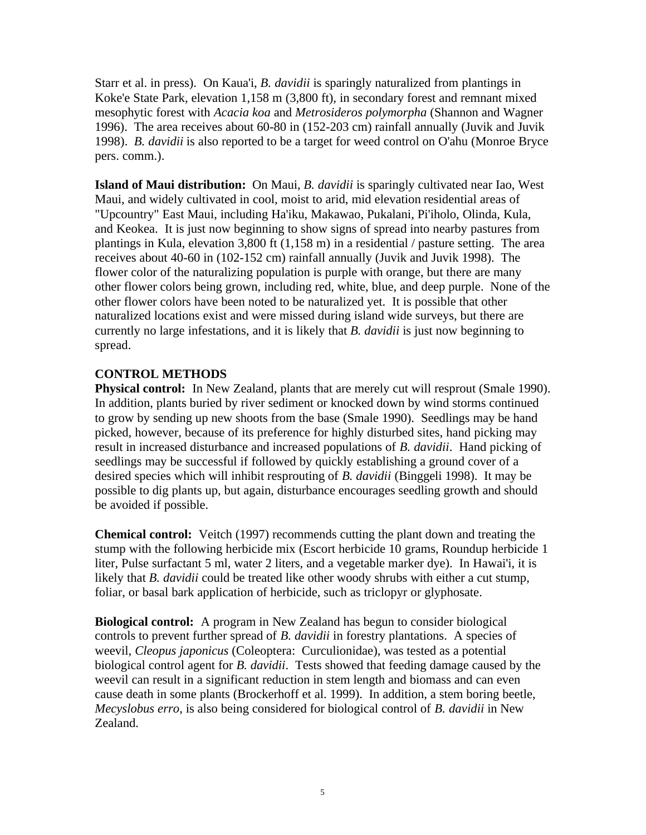Starr et al. in press). On Kaua'i, *B. davidii* is sparingly naturalized from plantings in Koke'e State Park, elevation 1,158 m (3,800 ft), in secondary forest and remnant mixed mesophytic forest with *Acacia koa* and *Metrosideros polymorpha* (Shannon and Wagner 1996). The area receives about 60-80 in (152-203 cm) rainfall annually (Juvik and Juvik 1998). *B. davidii* is also reported to be a target for weed control on O'ahu (Monroe Bryce pers. comm.).

**Island of Maui distribution:** On Maui, *B. davidii* is sparingly cultivated near Iao, West Maui, and widely cultivated in cool, moist to arid, mid elevation residential areas of "Upcountry" East Maui, including Ha'iku, Makawao, Pukalani, Pi'iholo, Olinda, Kula, and Keokea. It is just now beginning to show signs of spread into nearby pastures from plantings in Kula, elevation 3,800 ft (1,158 m) in a residential / pasture setting. The area receives about 40-60 in (102-152 cm) rainfall annually (Juvik and Juvik 1998). The flower color of the naturalizing population is purple with orange, but there are many other flower colors being grown, including red, white, blue, and deep purple. None of the other flower colors have been noted to be naturalized yet. It is possible that other naturalized locations exist and were missed during island wide surveys, but there are currently no large infestations, and it is likely that *B. davidii* is just now beginning to spread.

## **CONTROL METHODS**

**Physical control:** In New Zealand, plants that are merely cut will resprout (Smale 1990). In addition, plants buried by river sediment or knocked down by wind storms continued to grow by sending up new shoots from the base (Smale 1990). Seedlings may be hand picked, however, because of its preference for highly disturbed sites, hand picking may result in increased disturbance and increased populations of *B. davidii*. Hand picking of seedlings may be successful if followed by quickly establishing a ground cover of a desired species which will inhibit resprouting of *B. davidii* (Binggeli 1998). It may be possible to dig plants up, but again, disturbance encourages seedling growth and should be avoided if possible.

**Chemical control:** Veitch (1997) recommends cutting the plant down and treating the stump with the following herbicide mix (Escort herbicide 10 grams, Roundup herbicide 1 liter, Pulse surfactant 5 ml, water 2 liters, and a vegetable marker dye). In Hawai'i, it is likely that *B. davidii* could be treated like other woody shrubs with either a cut stump, foliar, or basal bark application of herbicide, such as triclopyr or glyphosate.

**Biological control:** A program in New Zealand has begun to consider biological controls to prevent further spread of *B. davidii* in forestry plantations. A species of weevil, *Cleopus japonicus* (Coleoptera: Curculionidae), was tested as a potential biological control agent for *B. davidii*. Tests showed that feeding damage caused by the weevil can result in a significant reduction in stem length and biomass and can even cause death in some plants (Brockerhoff et al. 1999). In addition, a stem boring beetle, *Mecyslobus erro*, is also being considered for biological control of *B. davidii* in New Zealand.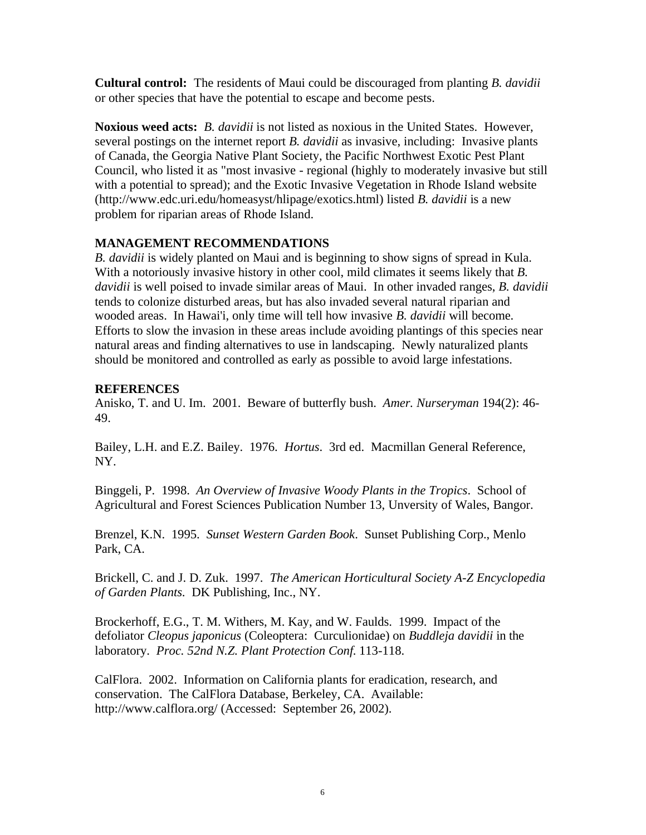**Cultural control:** The residents of Maui could be discouraged from planting *B. davidii* or other species that have the potential to escape and become pests.

**Noxious weed acts:** *B. davidii* is not listed as noxious in the United States. However, several postings on the internet report *B. davidii* as invasive, including: Invasive plants of Canada, the Georgia Native Plant Society, the Pacific Northwest Exotic Pest Plant Council, who listed it as "most invasive - regional (highly to moderately invasive but still with a potential to spread); and the Exotic Invasive Vegetation in Rhode Island website (http://www.edc.uri.edu/homeasyst/hlipage/exotics.html) listed *B. davidii* is a new problem for riparian areas of Rhode Island.

# **MANAGEMENT RECOMMENDATIONS**

*B. davidii* is widely planted on Maui and is beginning to show signs of spread in Kula. With a notoriously invasive history in other cool, mild climates it seems likely that *B. davidii* is well poised to invade similar areas of Maui. In other invaded ranges, *B. davidii* tends to colonize disturbed areas, but has also invaded several natural riparian and wooded areas. In Hawai'i, only time will tell how invasive *B. davidii* will become. Efforts to slow the invasion in these areas include avoiding plantings of this species near natural areas and finding alternatives to use in landscaping. Newly naturalized plants should be monitored and controlled as early as possible to avoid large infestations.

## **REFERENCES**

Anisko, T. and U. Im. 2001. Beware of butterfly bush. *Amer. Nurseryman* 194(2): 46- 49.

Bailey, L.H. and E.Z. Bailey. 1976. *Hortus*. 3rd ed. Macmillan General Reference, NY.

Binggeli, P. 1998. *An Overview of Invasive Woody Plants in the Tropics*. School of Agricultural and Forest Sciences Publication Number 13, Unversity of Wales, Bangor.

Brenzel, K.N. 1995. *Sunset Western Garden Book*. Sunset Publishing Corp., Menlo Park, CA.

Brickell, C. and J. D. Zuk. 1997. *The American Horticultural Society A-Z Encyclopedia of Garden Plants*. DK Publishing, Inc., NY.

Brockerhoff, E.G., T. M. Withers, M. Kay, and W. Faulds. 1999. Impact of the defoliator *Cleopus japonicus* (Coleoptera: Curculionidae) on *Buddleja davidii* in the laboratory. *Proc. 52nd N.Z. Plant Protection Conf.* 113-118.

CalFlora. 2002. Information on California plants for eradication, research, and conservation. The CalFlora Database, Berkeley, CA. Available: http://www.calflora.org/ (Accessed: September 26, 2002).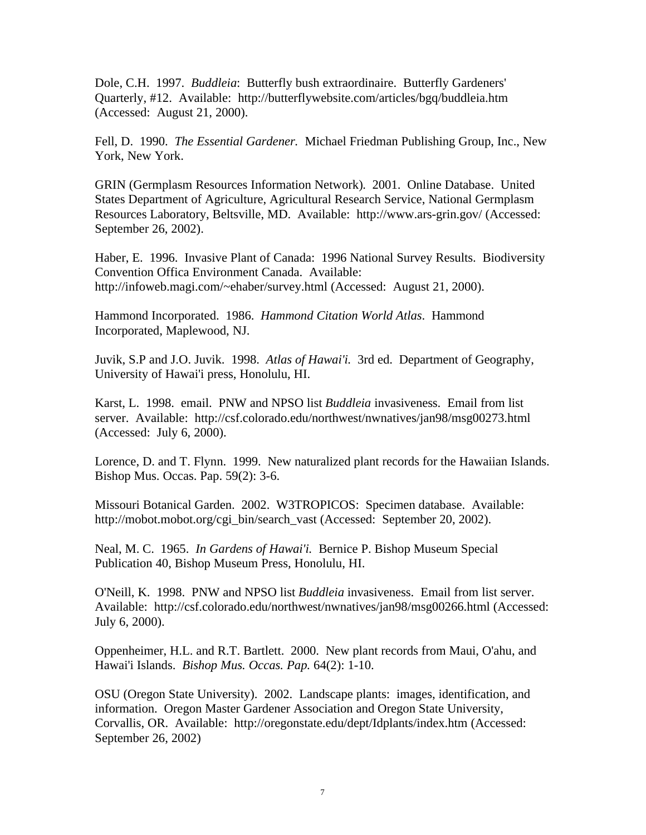Dole, C.H. 1997. *Buddleia*: Butterfly bush extraordinaire. Butterfly Gardeners' Quarterly, #12. Available: http://butterflywebsite.com/articles/bgq/buddleia.htm (Accessed: August 21, 2000).

Fell, D. 1990. *The Essential Gardener.* Michael Friedman Publishing Group, Inc., New York, New York.

GRIN (Germplasm Resources Information Network)*.* 2001. Online Database. United States Department of Agriculture, Agricultural Research Service, National Germplasm Resources Laboratory, Beltsville, MD. Available: http://www.ars-grin.gov/ (Accessed: September 26, 2002).

Haber, E. 1996. Invasive Plant of Canada: 1996 National Survey Results. Biodiversity Convention Offica Environment Canada. Available: http://infoweb.magi.com/~ehaber/survey.html (Accessed: August 21, 2000).

Hammond Incorporated. 1986. *Hammond Citation World Atlas*. Hammond Incorporated, Maplewood, NJ.

Juvik, S.P and J.O. Juvik. 1998. *Atlas of Hawai'i.* 3rd ed. Department of Geography, University of Hawai'i press, Honolulu, HI.

Karst, L. 1998. email. PNW and NPSO list *Buddleia* invasiveness. Email from list server. Available: http://csf.colorado.edu/northwest/nwnatives/jan98/msg00273.html (Accessed: July 6, 2000).

Lorence, D. and T. Flynn. 1999. New naturalized plant records for the Hawaiian Islands. Bishop Mus. Occas. Pap. 59(2): 3-6.

Missouri Botanical Garden. 2002. W3TROPICOS: Specimen database. Available: http://mobot.mobot.org/cgi\_bin/search\_vast (Accessed: September 20, 2002).

Neal, M. C. 1965. *In Gardens of Hawai'i.* Bernice P. Bishop Museum Special Publication 40, Bishop Museum Press, Honolulu, HI.

O'Neill, K. 1998. PNW and NPSO list *Buddleia* invasiveness. Email from list server. Available: http://csf.colorado.edu/northwest/nwnatives/jan98/msg00266.html (Accessed: July 6, 2000).

Oppenheimer, H.L. and R.T. Bartlett. 2000. New plant records from Maui, O'ahu, and Hawai'i Islands. *Bishop Mus. Occas. Pap.* 64(2): 1-10.

OSU (Oregon State University). 2002. Landscape plants: images, identification, and information. Oregon Master Gardener Association and Oregon State University, Corvallis, OR. Available: http://oregonstate.edu/dept/Idplants/index.htm (Accessed: September 26, 2002)